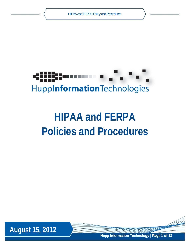

# **HIPAA and FERPA Policies and Procedures**



**Hupp Information Technology | Page 1 of 13**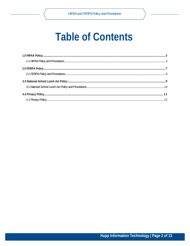## **Table of Contents**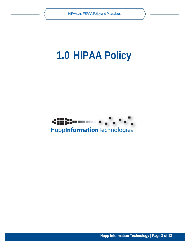## **1.0 HIPAA Policy**



**Hupp Information Technology | Page 3 of 13**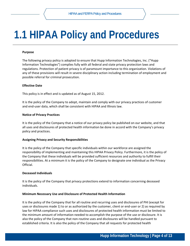## **1.1 HIPAA Policy and Procedures**

## **Purpose**

The following privacy policy is adopted to ensure that Hupp Information Technologies, Inc. ("Hupp Information Technologies") complies fully with all federal and state privacy protection laws and regulations. Protection of patient privacy is of paramount importance to this organization. Violations of any of these provisions will result in severe disciplinary action including termination of employment and possible referral for criminal prosecution.

## **Effective Date**

This policy is in effect and is updated as of August 15, 2012.

It is the policy of the Company to adopt, maintain and comply with our privacy practices of customer and end‐user data, which shall be consistent with HIPAA and Illinois law.

## **Notice of Privacy Practices**

It is the policy of the Company that a notice of our privacy policy be published on our website, and that all uses and disclosures of protected health information be done in accord with the Company's privacy policy and practices.

## **Assigning Privacy and Security Responsibilities**

It is the policy of the Company that specific individuals within our workforce are assigned the responsibility of implementing and maintaining this HIPAA Privacy Policy. Furthermore, it is the policy of the Company that these individuals will be provided sufficient resources and authority to fulfill their responsibilities. At a minimum it is the policy of the Company to designate one individual as the Privacy Official.

## **Deceased Individuals**

It is the policy of the Company that privacy protections extend to information concerning deceased individuals.

## **Minimum Necessary Use and Disclosure of Protected Health Information**

It is the policy of the Company that for all routine and recurring uses and disclosures of PHI (except for uses or disclosures made 1) to or as authorized by the customer, client or end‐user or 2) as required by law for HIPAA compliance such uses and disclosures of protected health information must be limited to the minimum amount of information needed to accomplish the purpose of the use or disclosure. It is also the policy of the Company that non‐routine uses and disclosures will be handled pursuant to established criteria. It is also the policy of the Company that all requests for protected health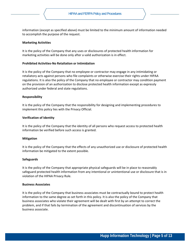information (except as specified above) must be limited to the minimum amount of information needed to accomplish the purpose of the request.

## **Marketing Activities**

It is the policy of the Company that any uses or disclosures of protected health information for marketing activities will be done only after a valid authorization is in effect.

## **Prohibited Activities‐No Retaliation or Intimidation**

It is the policy of the Company that no employee or contractor may engage in any intimidating or retaliatory acts against persons who file complaints or otherwise exercise their rights under HIPAA regulations. It is also the policy of the Company that no employee or contractor may condition payment on the provision of an authorization to disclose protected health information except as expressly authorized under federal and state regulations.

## **Responsibility**

It is the policy of the Company that the responsibility for designing and implementing procedures to implement this policy lies with the Privacy Official.

## **Verification of Identity**

It is the policy of the Company that the identity of all persons who request access to protected health information be verified before such access is granted.

## **Mitigation**

It is the policy of the Company that the effects of any unauthorized use or disclosure of protected health information be mitigated to the extent possible.

## **Safeguards**

It is the policy of the Company that appropriate physical safeguards will be in place to reasonably safeguard protected health information from any intentional or unintentional use or disclosure that is in violation of the HIPAA Privacy Rule.

## **Business Associates**

It is the policy of the Company that business associates must be contractually bound to protect health information to the same degree as set forth in this policy. It is also the policy of the Company that business associates who violate their agreement will be dealt with first by an attempt to correct the problem, and if that fails by termination of the agreement and discontinuation of services by the business associate.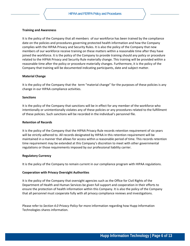## **Training and Awareness**

It is the policy of the Company that all members of our workforce has been trained by the compliance date on the policies and procedures governing protected health information and how the Company complies with the HIPAA Privacy and Security Rules. It is also the policy of the Company that new members of our workforce receive training on these matters within a reasonable time after they have joined the workforce. It is the policy of the Company to provide training should any policy or procedure related to the HIPAA Privacy and Security Rule materially change. This training will be provided within a reasonable time after the policy or procedure materially changes. Furthermore, it is the policy of the Company that training will be documented indicating participants, date and subject matter.

#### **Material Change**

It is the policy of the Company that the term "material change" for the purposes of these policies is any change in our HIPAA compliance activities.

#### **Sanctions**

It is the policy of the Company that sanctions will be in effect for any member of the workforce who intentionally or unintentionally violates any of these policies or any procedures related to the fulfillment of these policies. Such sanctions will be recorded in the individual's personnel file.

#### **Retention of Records**

It is the policy of the Company that the HIPAA Privacy Rule records retention requirement of six years will be strictly adhered to. All records designated by HIPAA in this retention requirement will be maintained in a manner that allows for access within a reasonable period of time. This records retention time requirement may be extended at this Company's discretion to meet with other governmental regulations or those requirements imposed by our professional liability carrier.

#### **Regulatory Currency**

It is the policy of the Company to remain current in our compliance program with HIPAA regulations.

## **Cooperation with Privacy Oversight Authorities**

It is the policy of the Company that oversight agencies such as the Office for Civil Rights of the Department of Health and Human Services be given full support and cooperation in their efforts to ensure the protection of health information within this Company. It is also the policy of the Company that all personnel must cooperate fully with all privacy compliance reviews and investigations.

Please refer to *Section 4.0 Privacy Policy* for more information regarding how Hupp Information Technologies shares information.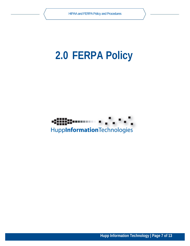## **2.0 FERPA Policy**



**Hupp Information Technology | Page 7 of 13**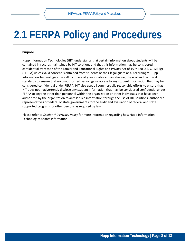## **2.1 FERPA Policy and Procedures**

#### **Purpose**

Hupp Information Technologies (HIT) understands that certain information about students will be contained in records maintained by HIT solutions and that this information may be considered confidential by reason of the Family and Educational Rights and Privacy Act of 1974 (20 U.S. C. 1232g) (FERPA) unless valid consent is obtained from students or their legal guardians. Accordingly, Hupp Information Technologies uses all commercially reasonable administrative, physical and technical standards to ensure that no unauthorized person gains access to any student information that may be considered confidential under FERPA. HIT also uses all commercially reasonable efforts to ensure that HIT does not inadvertently disclose any student information that may be considered confidential under FERPA to anyone other than personnel within the organization or other individuals that have been authorized by the organization to access such information through the use of HIT solutions, authorized representatives of federal or state governments for the audit and evaluation of federal and state supported programs or other persons as required by law.

Please refer to *Section 4.0 Privacy Policy* for more information regarding how Hupp Information Technologies shares information.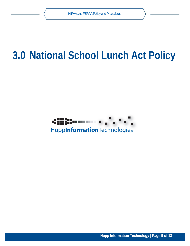## **3.0 National School Lunch Act Policy**



**Hupp Information Technology | Page 9 of 13**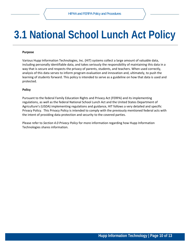## **3.1 National School Lunch Act Policy**

## **Purpose**

Various Hupp Information Technologies, Inc. (HIT) systems collect a large amount of valuable data, including personally identifiable data, and takes seriously the responsibility of maintaining this data in a way that is secure and respects the privacy of parents, students, and teachers. When used correctly, analysis of this data serves to inform program evaluation and innovation and, ultimately, to push the learning of students forward. This policy is intended to serve as a guideline on how that data is used and protected.

## **Policy**

Pursuant to the federal Family Education Rights and Privacy Act (FERPA) and its implementing regulations, as well as the federal National School Lunch Act and the United States Department of Agriculture's (USDA) implementing regulations and guidance, HIT follows a very detailed and specific Privacy Policy. This Privacy Policy is intended to comply with the previously mentioned federal acts with the intent of providing data protection and security to the covered parties.

Please refer to *Section 4.0 Privacy Policy* for more information regarding how Hupp Information Technologies shares information.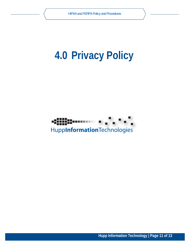## **4.0 Privacy Policy**



**Hupp Information Technology | Page 11 of 13**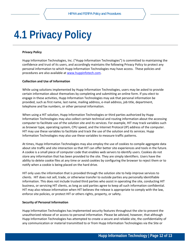## **4.1 Privacy Policy**

#### **Privacy Policy**

Hupp Information Technologies, Inc. ("Hupp Information Technologies") is committed to maintaining the confidence and trust of its users, and accordingly maintains the following Privacy Policy to protect any personal information to which Hupp Information Technologies may have access. These policies and procedures are also available at www.huppinfotech.com.

#### **Collection and Use of Information**

While using solutions implemented by Hupp Information Technologies, users may be asked to provide certain information about themselves by completing and submitting an online form. If you elect to engage in these activities, Hupp Information Technologies may ask that personal information be provided, such as first name, last name, mailing address, e‐mail address, job title, department, telephone and fax numbers, or other personal information.

When using a HIT solution, Hupp Information Technologies or third parties authorized by Hupp Information Technologies may also collect certain technical and routing information about the accessing computer to facilitate use of the solution site and its services. For example, HIT may track variables such as browser type, operating system, CPU speed, and the Internet Protocol (IP) address of the computer. HIT may use these variables to facilitate and track the use of the solution and its services. Hupp Information Technologies may also use these variables to measure traffic patterns.

At times, Hupp Information Technologies may also employ the use of cookies to compile aggregate data about site traffic and site interaction so that HIT can offer better site experiences and tools in the future. A cookie is a small piece of computer code that enables web servers to identify users. Cookies do not store any information that has been provided to the site. They are simply identifiers. Users have the ability to delete cookie files at any time or avoid cookies by configuring the browser to reject them or to notify when a cookie is being placed on the hard drive.

HIT only uses the information that is provided through the solution site to help improve services to clients. HIT does not sell, trade, or otherwise transfer to outside parties any personally identifiable information. This does not include trusted third parties who assist in operating the site, conducting HIT business, or servicing HIT clients, as long as said parties agree to keep all such information confidential. HIT may also release information when HIT believes the release is appropriate to comply with the law, enforce site policies, or protect HIT or others rights, property, or safety.

#### **Security of Personal Information**

Hupp Information Technologies has implemented security features throughout the site to prevent the unauthorized release of or access to personal information. Please be advised, however, that although Hupp Information Technologies has attempted to create a secure and reliable site, the confidentiality of any communication or material transmitted to or from Hupp Information Technologies via the Site or